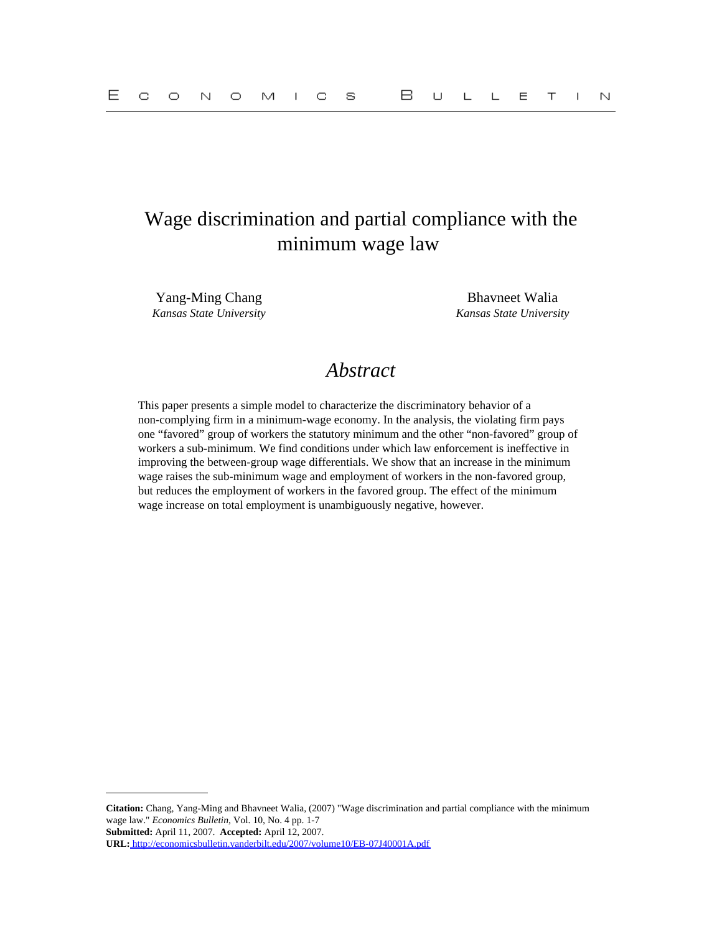# Wage discrimination and partial compliance with the minimum wage law

*Kansas State University Kansas State University*

Yang-Ming Chang Bhavneet Walia

## *Abstract*

This paper presents a simple model to characterize the discriminatory behavior of a non-complying firm in a minimum-wage economy. In the analysis, the violating firm pays one "favored" group of workers the statutory minimum and the other "non-favored" group of workers a sub-minimum. We find conditions under which law enforcement is ineffective in improving the between-group wage differentials. We show that an increase in the minimum wage raises the sub-minimum wage and employment of workers in the non-favored group, but reduces the employment of workers in the favored group. The effect of the minimum wage increase on total employment is unambiguously negative, however.

**Citation:** Chang, Yang-Ming and Bhavneet Walia, (2007) "Wage discrimination and partial compliance with the minimum wage law." *Economics Bulletin,* Vol. 10, No. 4 pp. 1-7 **Submitted:** April 11, 2007. **Accepted:** April 12, 2007.

**URL:**<http://economicsbulletin.vanderbilt.edu/2007/volume10/EB-07J40001A.pdf>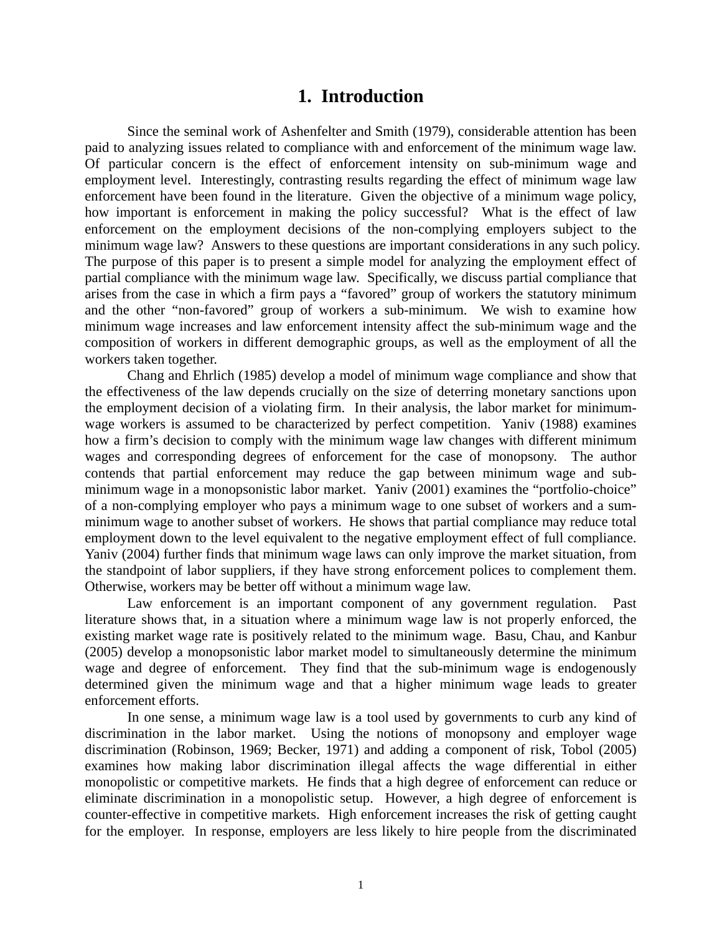## **1. Introduction**

Since the seminal work of Ashenfelter and Smith (1979), considerable attention has been paid to analyzing issues related to compliance with and enforcement of the minimum wage law. Of particular concern is the effect of enforcement intensity on sub-minimum wage and employment level. Interestingly, contrasting results regarding the effect of minimum wage law enforcement have been found in the literature. Given the objective of a minimum wage policy, how important is enforcement in making the policy successful? What is the effect of law enforcement on the employment decisions of the non-complying employers subject to the minimum wage law? Answers to these questions are important considerations in any such policy. The purpose of this paper is to present a simple model for analyzing the employment effect of partial compliance with the minimum wage law. Specifically, we discuss partial compliance that arises from the case in which a firm pays a "favored" group of workers the statutory minimum and the other "non-favored" group of workers a sub-minimum. We wish to examine how minimum wage increases and law enforcement intensity affect the sub-minimum wage and the composition of workers in different demographic groups, as well as the employment of all the workers taken together.

Chang and Ehrlich (1985) develop a model of minimum wage compliance and show that the effectiveness of the law depends crucially on the size of deterring monetary sanctions upon the employment decision of a violating firm. In their analysis, the labor market for minimumwage workers is assumed to be characterized by perfect competition. Yaniv (1988) examines how a firm's decision to comply with the minimum wage law changes with different minimum wages and corresponding degrees of enforcement for the case of monopsony. The author contends that partial enforcement may reduce the gap between minimum wage and subminimum wage in a monopsonistic labor market. Yaniv (2001) examines the "portfolio-choice" of a non-complying employer who pays a minimum wage to one subset of workers and a summinimum wage to another subset of workers. He shows that partial compliance may reduce total employment down to the level equivalent to the negative employment effect of full compliance. Yaniv (2004) further finds that minimum wage laws can only improve the market situation, from the standpoint of labor suppliers, if they have strong enforcement polices to complement them. Otherwise, workers may be better off without a minimum wage law.

Law enforcement is an important component of any government regulation. Past literature shows that, in a situation where a minimum wage law is not properly enforced, the existing market wage rate is positively related to the minimum wage. Basu, Chau, and Kanbur (2005) develop a monopsonistic labor market model to simultaneously determine the minimum wage and degree of enforcement. They find that the sub-minimum wage is endogenously determined given the minimum wage and that a higher minimum wage leads to greater enforcement efforts.

 In one sense, a minimum wage law is a tool used by governments to curb any kind of discrimination in the labor market. Using the notions of monopsony and employer wage discrimination (Robinson, 1969; Becker, 1971) and adding a component of risk, Tobol (2005) examines how making labor discrimination illegal affects the wage differential in either monopolistic or competitive markets. He finds that a high degree of enforcement can reduce or eliminate discrimination in a monopolistic setup. However, a high degree of enforcement is counter-effective in competitive markets. High enforcement increases the risk of getting caught for the employer. In response, employers are less likely to hire people from the discriminated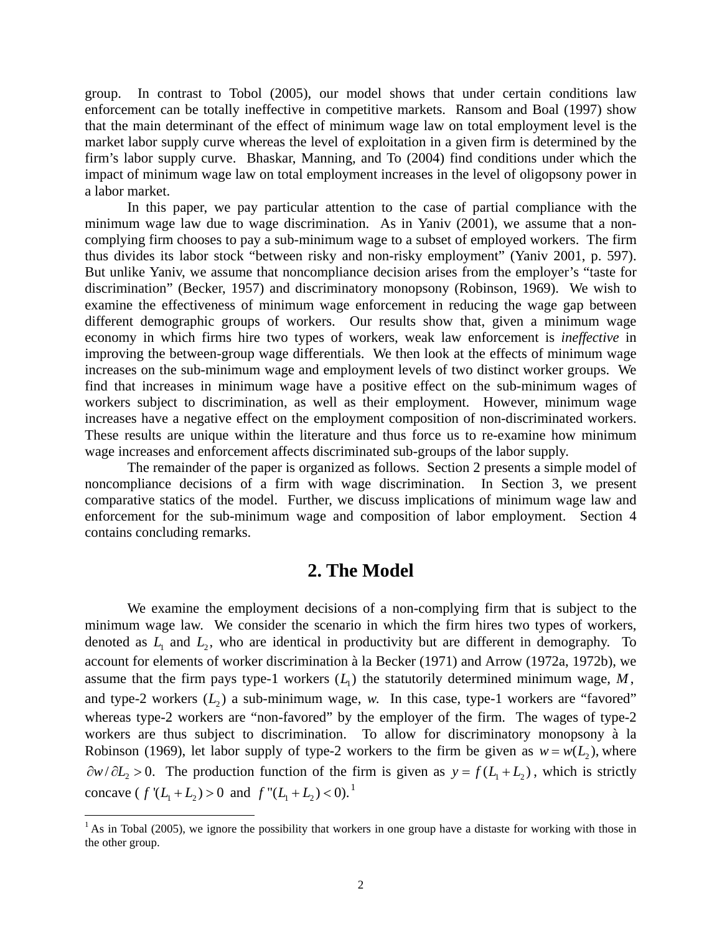group. In contrast to Tobol (2005), our model shows that under certain conditions law enforcement can be totally ineffective in competitive markets. Ransom and Boal (1997) show that the main determinant of the effect of minimum wage law on total employment level is the market labor supply curve whereas the level of exploitation in a given firm is determined by the firm's labor supply curve. Bhaskar, Manning, and To (2004) find conditions under which the impact of minimum wage law on total employment increases in the level of oligopsony power in a labor market.

In this paper, we pay particular attention to the case of partial compliance with the minimum wage law due to wage discrimination. As in Yaniv (2001), we assume that a noncomplying firm chooses to pay a sub-minimum wage to a subset of employed workers. The firm thus divides its labor stock "between risky and non-risky employment" (Yaniv 2001, p. 597). But unlike Yaniv, we assume that noncompliance decision arises from the employer's "taste for discrimination" (Becker, 1957) and discriminatory monopsony (Robinson, 1969). We wish to examine the effectiveness of minimum wage enforcement in reducing the wage gap between different demographic groups of workers. Our results show that, given a minimum wage economy in which firms hire two types of workers, weak law enforcement is *ineffective* in improving the between-group wage differentials. We then look at the effects of minimum wage increases on the sub-minimum wage and employment levels of two distinct worker groups. We find that increases in minimum wage have a positive effect on the sub-minimum wages of workers subject to discrimination, as well as their employment. However, minimum wage increases have a negative effect on the employment composition of non-discriminated workers. These results are unique within the literature and thus force us to re-examine how minimum wage increases and enforcement affects discriminated sub-groups of the labor supply.

 The remainder of the paper is organized as follows. Section 2 presents a simple model of noncompliance decisions of a firm with wage discrimination. In Section 3, we present comparative statics of the model. Further, we discuss implications of minimum wage law and enforcement for the sub-minimum wage and composition of labor employment. Section 4 contains concluding remarks.

#### **2. The Model**

We examine the employment decisions of a non-complying firm that is subject to the minimum wage law. We consider the scenario in which the firm hires two types of workers, denoted as  $L_1$  and  $L_2$ , who are identical in productivity but are different in demography. To account for elements of worker discrimination à la Becker (1971) and Arrow (1972a, 1972b), we assume that the firm pays type-1 workers  $(L_1)$  the statutorily determined minimum wage, M, and type-2 workers  $(L_2)$  a sub-minimum wage, *w*. In this case, type-1 workers are "favored" whereas type-2 workers are "non-favored" by the employer of the firm. The wages of type-2 workers are thus subject to discrimination. To allow for discriminatory monopsony à la Robinson (1969), let labor supply of type-2 workers to the firm be given as  $w = w(L_2)$ , where  $\partial w / \partial L$  > 0. The production function of the firm is given as  $y = f(L_1 + L_2)$ , which is strictly concave (  $f'(L_1 + L_2) > 0$  and  $f''(L_1 + L_2) < 0$ ).<sup>1</sup>

<sup>&</sup>lt;sup>1</sup> As in Tobal (2005), we ignore the possibility that workers in one group have a distaste for working with those in the other group.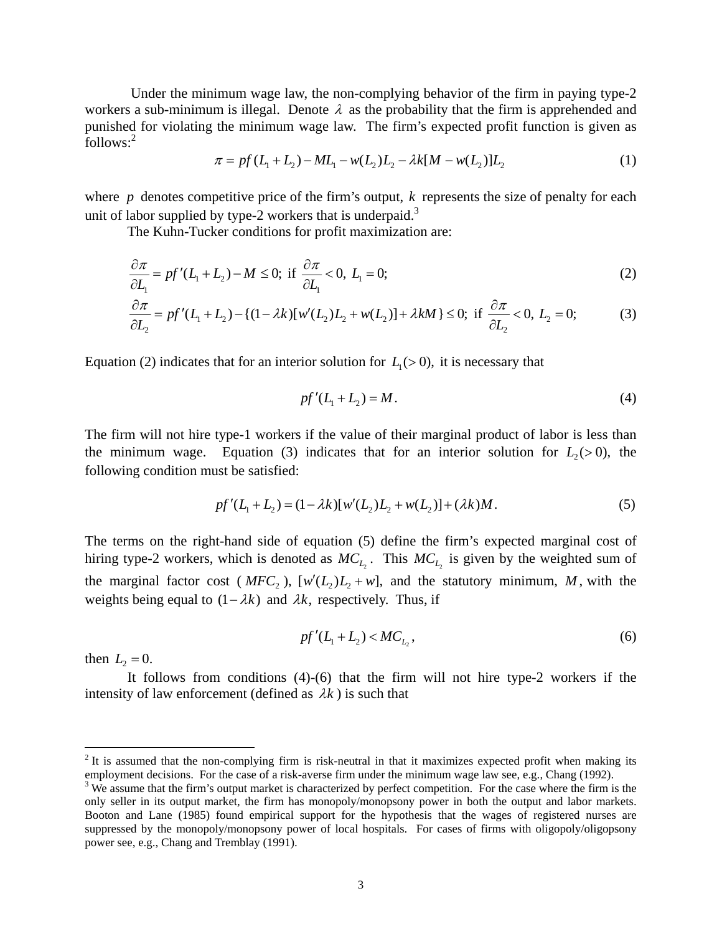Under the minimum wage law, the non-complying behavior of the firm in paying type-2 workers a sub-minimum is illegal. Denote  $\lambda$  as the probability that the firm is apprehended and punished for violating the minimum wage law. The firm's expected profit function is given as follows:<sup>2</sup>

$$
\pi = pf (L_1 + L_2) - ML_1 - w(L_2)L_2 - \lambda k[M - w(L_2)]L_2 \tag{1}
$$

where *p* denotes competitive price of the firm's output, *k* represents the size of penalty for each unit of labor supplied by type-2 workers that is underpaid.<sup>3</sup>

The Kuhn-Tucker conditions for profit maximization are:

$$
\frac{\partial \pi}{\partial L_1} = pf'(L_1 + L_2) - M \le 0; \text{ if } \frac{\partial \pi}{\partial L_1} < 0, \ L_1 = 0; \tag{2}
$$

$$
\frac{\partial \pi}{\partial L_2} = pf'(L_1 + L_2) - \{(1 - \lambda k)[w'(L_2)L_2 + w(L_2)] + \lambda kM\} \le 0; \text{ if } \frac{\partial \pi}{\partial L_2} < 0, L_2 = 0; \tag{3}
$$

Equation (2) indicates that for an interior solution for  $L_1(>0)$ , it is necessary that

$$
pf'(L_1 + L_2) = M.
$$
 (4)

The firm will not hire type-1 workers if the value of their marginal product of labor is less than the minimum wage. Equation (3) indicates that for an interior solution for  $L_2$  (> 0), the following condition must be satisfied:

$$
pf'(L_1 + L_2) = (1 - \lambda k)[w'(L_2)L_2 + w(L_2)] + (\lambda k)M.
$$
\n(5)

The terms on the right-hand side of equation (5) define the firm's expected marginal cost of hiring type-2 workers, which is denoted as  $MC_{L_2}$ . This  $MC_{L_2}$  is given by the weighted sum of the marginal factor cost ( $MFC_2$ ),  $[w'(L_2)L_2 + w]$ , and the statutory minimum, *M*, with the weights being equal to  $(1 - \lambda k)$  and  $\lambda k$ , respectively. Thus, if

$$
pf'(L_1 + L_2) < MC_{L_2},\tag{6}
$$

then  $L_2 = 0$ .

<u>.</u>

It follows from conditions (4)-(6) that the firm will not hire type-2 workers if the intensity of law enforcement (defined as  $\lambda k$ ) is such that

 $2$  It is assumed that the non-complying firm is risk-neutral in that it maximizes expected profit when making its employment decisions. For the case of a risk-averse firm under the minimum wage law see, e.g., Chang (1992).

 $3$  We assume that the firm's output market is characterized by perfect competition. For the case where the firm is the only seller in its output market, the firm has monopoly/monopsony power in both the output and labor markets. Booton and Lane (1985) found empirical support for the hypothesis that the wages of registered nurses are suppressed by the monopoly/monopsony power of local hospitals. For cases of firms with oligopoly/oligopsony power see, e.g., Chang and Tremblay (1991).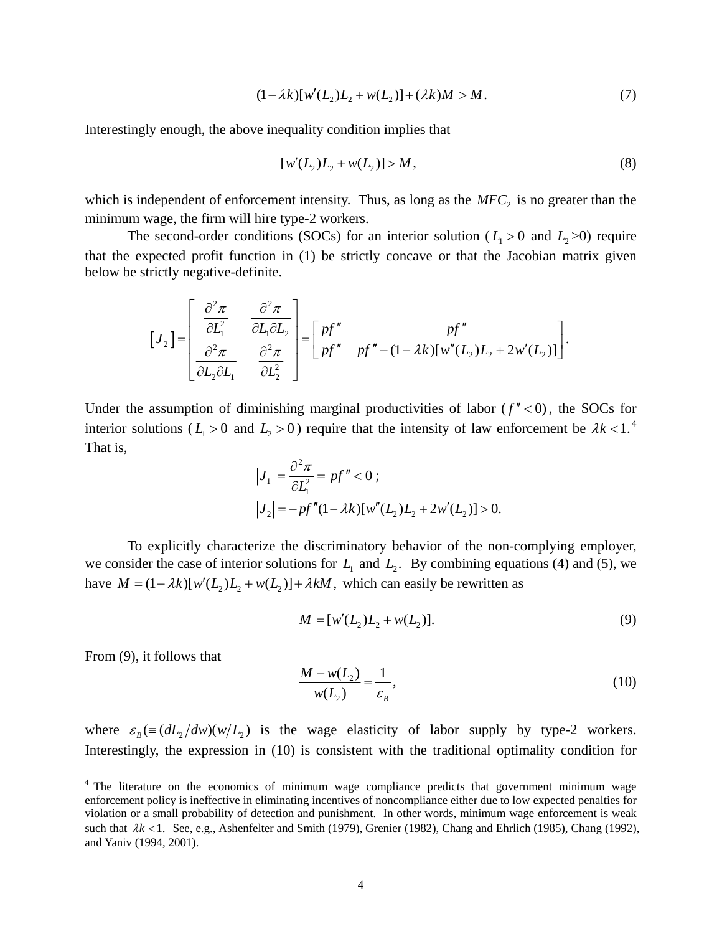$$
(1 - \lambda k)[w'(L_2)L_2 + w(L_2)] + (\lambda k)M > M.
$$
 (7)

Interestingly enough, the above inequality condition implies that

$$
[w'(L_2)L_2 + w(L_2)] > M,
$$
\n(8)

which is independent of enforcement intensity. Thus, as long as the  $MFC<sub>2</sub>$  is no greater than the minimum wage, the firm will hire type-2 workers.

The second-order conditions (SOCs) for an interior solution ( $L_1 > 0$  and  $L_2 > 0$ ) require that the expected profit function in (1) be strictly concave or that the Jacobian matrix given below be strictly negative-definite.

$$
\begin{bmatrix} J_2 \end{bmatrix} = \begin{bmatrix} \frac{\partial^2 \pi}{\partial L_1^2} & \frac{\partial^2 \pi}{\partial L_1 \partial L_2} \\ \frac{\partial^2 \pi}{\partial L_2 \partial L_1} & \frac{\partial^2 \pi}{\partial L_2^2} \end{bmatrix} = \begin{bmatrix} pf'' & pf'' \\ pf'' & pf'' - (1 - \lambda k) [w''(L_2)L_2 + 2w'(L_2)] \end{bmatrix}.
$$

Under the assumption of diminishing marginal productivities of labor  $(f'' < 0)$ , the SOCs for interior solutions ( $L_1 > 0$  and  $L_2 > 0$ ) require that the intensity of law enforcement be  $\lambda k < 1$ .<sup>4</sup> That is,

$$
|J_1| = \frac{\partial^2 \pi}{\partial L_1^2} = pf'' < 0 ;
$$
\n
$$
|J_2| = -pf''(1 - \lambda k)[w''(L_2)L_2 + 2w'(L_2)] > 0.
$$

To explicitly characterize the discriminatory behavior of the non-complying employer, we consider the case of interior solutions for  $L<sub>1</sub>$  and  $L<sub>2</sub>$ . By combining equations (4) and (5), we have  $M = (1 - \lambda k)[w'(L_2)L_2 + w(L_2)] + \lambda kM$ , which can easily be rewritten as

$$
M = [w'(L_2)L_2 + w(L_2)].
$$
\n(9)

From (9), it follows that

 $\overline{a}$ 

$$
\frac{M - w(L_2)}{w(L_2)} = \frac{1}{\varepsilon_B},\tag{10}
$$

where  $\varepsilon_B = \frac{dL_2}{dw}(w/L_2)$  is the wage elasticity of labor supply by type-2 workers. Interestingly, the expression in (10) is consistent with the traditional optimality condition for

<sup>&</sup>lt;sup>4</sup> The literature on the economics of minimum wage compliance predicts that government minimum wage enforcement policy is ineffective in eliminating incentives of noncompliance either due to low expected penalties for violation or a small probability of detection and punishment. In other words, minimum wage enforcement is weak such that  $\lambda k < 1$ . See, e.g., Ashenfelter and Smith (1979), Grenier (1982), Chang and Ehrlich (1985), Chang (1992), and Yaniv (1994, 2001).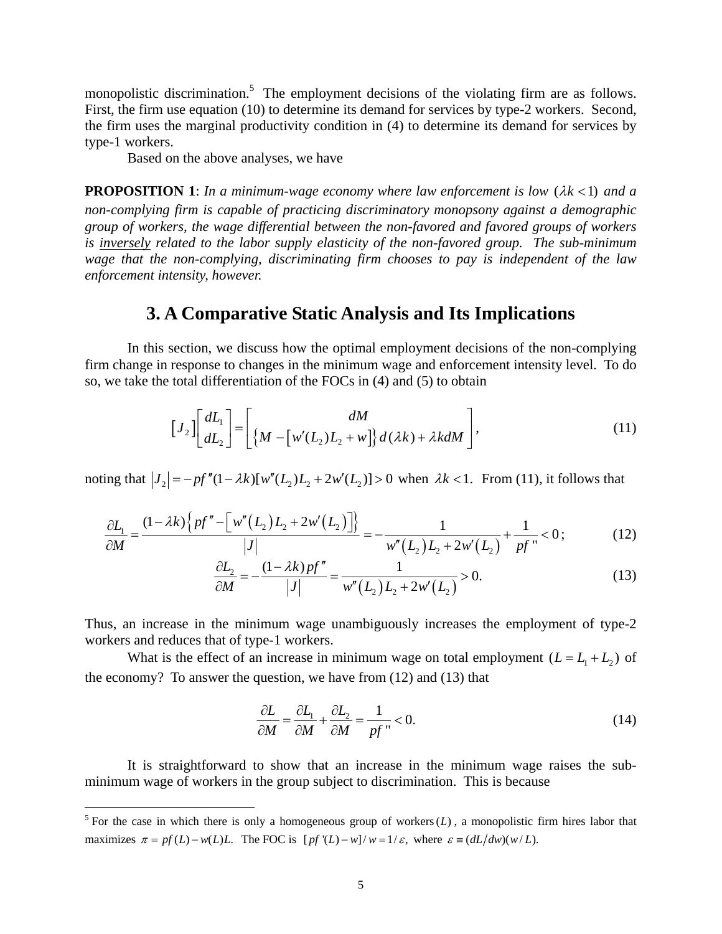monopolistic discrimination.<sup>5</sup> The employment decisions of the violating firm are as follows. First, the firm use equation (10) to determine its demand for services by type-2 workers. Second, the firm uses the marginal productivity condition in (4) to determine its demand for services by type-1 workers.

Based on the above analyses, we have

**PROPOSITION 1**: *In a minimum-wage economy where law enforcement is low*  $(\lambda k < 1)$  *and a non-complying firm is capable of practicing discriminatory monopsony against a demographic group of workers, the wage differential between the non-favored and favored groups of workers is inversely related to the labor supply elasticity of the non-favored group. The sub-minimum wage that the non-complying, discriminating firm chooses to pay is independent of the law enforcement intensity, however.* 

## **3. A Comparative Static Analysis and Its Implications**

In this section, we discuss how the optimal employment decisions of the non-complying firm change in response to changes in the minimum wage and enforcement intensity level. To do so, we take the total differentiation of the FOCs in (4) and (5) to obtain

$$
\begin{bmatrix} J_2 \end{bmatrix} \begin{bmatrix} dL_1 \\ dL_2 \end{bmatrix} = \begin{bmatrix} dM \\ \{ M - \left[ w'(L_2)L_2 + w \right] \} d(\lambda k) + \lambda k dM \end{bmatrix},
$$
\n(11)

noting that  $|J_2| = -pf''(1 - \lambda k)[w''(L_2)L_2 + 2w'(L_2)] > 0$  when  $\lambda k < 1$ . From (11), it follows that

$$
\frac{\partial L_1}{\partial M} = \frac{(1 - \lambda k) \left\{ pf'' - \left[ w''(L_2) L_2 + 2w'(L_2) \right] \right\}}{|J|} = -\frac{1}{w''(L_2) L_2 + 2w'(L_2)} + \frac{1}{pf''} < 0; \tag{12}
$$

$$
\frac{\partial L_2}{\partial M} = -\frac{(1 - \lambda k)pf''}{|J|} = \frac{1}{w''(L_2)L_2 + 2w'(L_2)} > 0.
$$
\n(13)

Thus, an increase in the minimum wage unambiguously increases the employment of type-2 workers and reduces that of type-1 workers.

What is the effect of an increase in minimum wage on total employment  $(L = L_1 + L_2)$  of the economy? To answer the question, we have from (12) and (13) that

$$
\frac{\partial L}{\partial M} = \frac{\partial L_1}{\partial M} + \frac{\partial L_2}{\partial M} = \frac{1}{pf} \cdot \langle 0. \tag{14}
$$

It is straightforward to show that an increase in the minimum wage raises the subminimum wage of workers in the group subject to discrimination. This is because

<sup>&</sup>lt;sup>5</sup> For the case in which there is only a homogeneous group of workers(*L*), a monopolistic firm hires labor that maximizes  $\pi = pf(L) - w(L)L$ . The FOC is  $[pf'(L) - w]/w = 1/\varepsilon$ , where  $\varepsilon \equiv (dL/dw)(w/L)$ .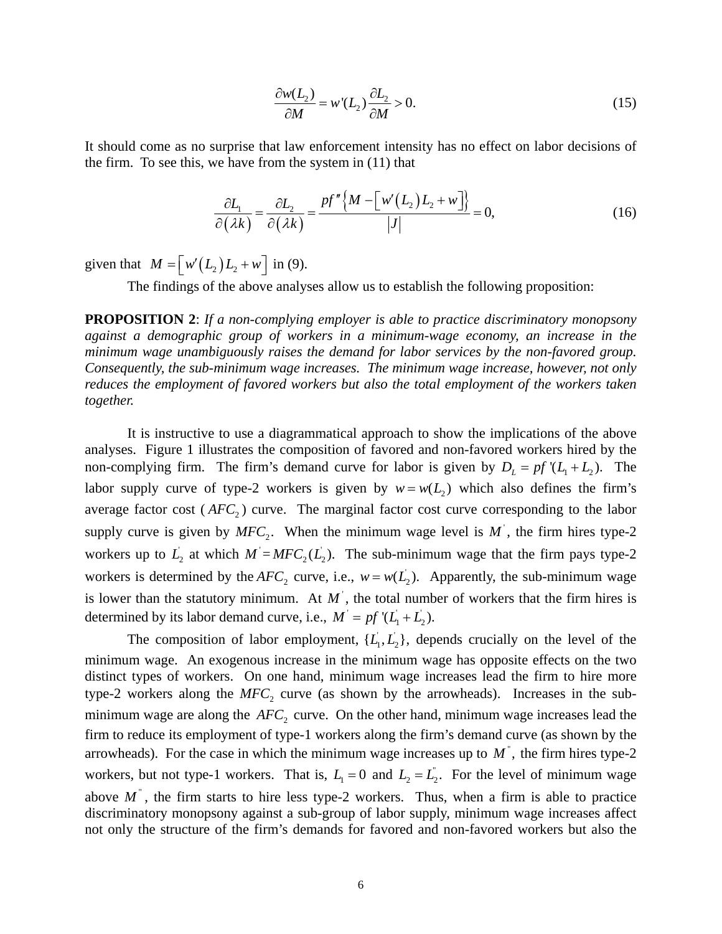$$
\frac{\partial w(L_2)}{\partial M} = w'(L_2) \frac{\partial L_2}{\partial M} > 0.
$$
\n(15)

It should come as no surprise that law enforcement intensity has no effect on labor decisions of the firm. To see this, we have from the system in (11) that

$$
\frac{\partial L_1}{\partial (\lambda k)} = \frac{\partial L_2}{\partial (\lambda k)} = \frac{pf''\left\{M - \left[w'(L_2)L_2 + w\right]\right\}}{|J|} = 0,
$$
\n(16)

given that  $M = \left\lceil w'(L_2) L_2 + w \right\rceil$  in (9).

The findings of the above analyses allow us to establish the following proposition:

**PROPOSITION 2**: *If a non-complying employer is able to practice discriminatory monopsony against a demographic group of workers in a minimum-wage economy, an increase in the minimum wage unambiguously raises the demand for labor services by the non-favored group. Consequently, the sub-minimum wage increases. The minimum wage increase, however, not only reduces the employment of favored workers but also the total employment of the workers taken together.* 

It is instructive to use a diagrammatical approach to show the implications of the above analyses. Figure 1 illustrates the composition of favored and non-favored workers hired by the non-complying firm. The firm's demand curve for labor is given by  $D_L = pf'(L_1 + L_2)$ . The labor supply curve of type-2 workers is given by  $w = w(L)$ , which also defines the firm's average factor cost  $(AFC_2)$  curve. The marginal factor cost curve corresponding to the labor supply curve is given by  $MFC_2$ . When the minimum wage level is  $M$ , the firm hires type-2 workers up to  $L_2$  at which  $M = MFC_2(L_2)$ . The sub-minimum wage that the firm pays type-2 workers is determined by the  $AFC_2$  curve, i.e.,  $w = w(L_2)$ . Apparently, the sub-minimum wage is lower than the statutory minimum. At  $M'$ , the total number of workers that the firm hires is determined by its labor demand curve, i.e.,  $M' = pf'(L_1 + L_2)$ .

The composition of labor employment,  $\{L_1, L_2\}$ , depends crucially on the level of the minimum wage. An exogenous increase in the minimum wage has opposite effects on the two distinct types of workers. On one hand, minimum wage increases lead the firm to hire more type-2 workers along the MFC<sub>2</sub> curve (as shown by the arrowheads). Increases in the subminimum wage are along the  $AFC<sub>2</sub>$  curve. On the other hand, minimum wage increases lead the firm to reduce its employment of type-1 workers along the firm's demand curve (as shown by the arrowheads). For the case in which the minimum wage increases up to  $M^{\dagger}$ , the firm hires type-2 workers, but not type-1 workers. That is,  $L_1 = 0$  and  $L_2 = L_2$ . For the level of minimum wage above  $M^{\dagger}$ , the firm starts to hire less type-2 workers. Thus, when a firm is able to practice discriminatory monopsony against a sub-group of labor supply, minimum wage increases affect not only the structure of the firm's demands for favored and non-favored workers but also the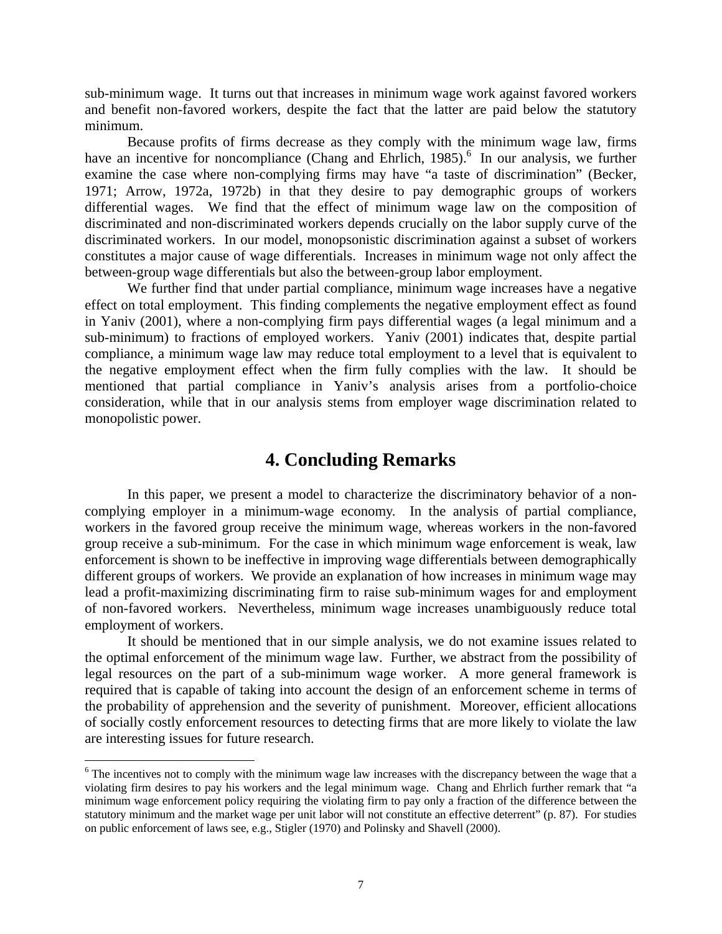sub-minimum wage. It turns out that increases in minimum wage work against favored workers and benefit non-favored workers, despite the fact that the latter are paid below the statutory minimum.

Because profits of firms decrease as they comply with the minimum wage law, firms have an incentive for noncompliance (Chang and Ehrlich, 1985).<sup>6</sup> In our analysis, we further examine the case where non-complying firms may have "a taste of discrimination" (Becker, 1971; Arrow, 1972a, 1972b) in that they desire to pay demographic groups of workers differential wages. We find that the effect of minimum wage law on the composition of discriminated and non-discriminated workers depends crucially on the labor supply curve of the discriminated workers. In our model, monopsonistic discrimination against a subset of workers constitutes a major cause of wage differentials. Increases in minimum wage not only affect the between-group wage differentials but also the between-group labor employment.

We further find that under partial compliance, minimum wage increases have a negative effect on total employment. This finding complements the negative employment effect as found in Yaniv (2001), where a non-complying firm pays differential wages (a legal minimum and a sub-minimum) to fractions of employed workers. Yaniv (2001) indicates that, despite partial compliance, a minimum wage law may reduce total employment to a level that is equivalent to the negative employment effect when the firm fully complies with the law. It should be mentioned that partial compliance in Yaniv's analysis arises from a portfolio-choice consideration, while that in our analysis stems from employer wage discrimination related to monopolistic power.

## **4. Concluding Remarks**

In this paper, we present a model to characterize the discriminatory behavior of a noncomplying employer in a minimum-wage economy. In the analysis of partial compliance, workers in the favored group receive the minimum wage, whereas workers in the non-favored group receive a sub-minimum. For the case in which minimum wage enforcement is weak, law enforcement is shown to be ineffective in improving wage differentials between demographically different groups of workers. We provide an explanation of how increases in minimum wage may lead a profit-maximizing discriminating firm to raise sub-minimum wages for and employment of non-favored workers. Nevertheless, minimum wage increases unambiguously reduce total employment of workers.

It should be mentioned that in our simple analysis, we do not examine issues related to the optimal enforcement of the minimum wage law. Further, we abstract from the possibility of legal resources on the part of a sub-minimum wage worker. A more general framework is required that is capable of taking into account the design of an enforcement scheme in terms of the probability of apprehension and the severity of punishment. Moreover, efficient allocations of socially costly enforcement resources to detecting firms that are more likely to violate the law are interesting issues for future research.

 $\overline{a}$ 

<sup>&</sup>lt;sup>6</sup> The incentives not to comply with the minimum wage law increases with the discrepancy between the wage that a violating firm desires to pay his workers and the legal minimum wage. Chang and Ehrlich further remark that "a minimum wage enforcement policy requiring the violating firm to pay only a fraction of the difference between the statutory minimum and the market wage per unit labor will not constitute an effective deterrent" (p. 87). For studies on public enforcement of laws see, e.g., Stigler (1970) and Polinsky and Shavell (2000).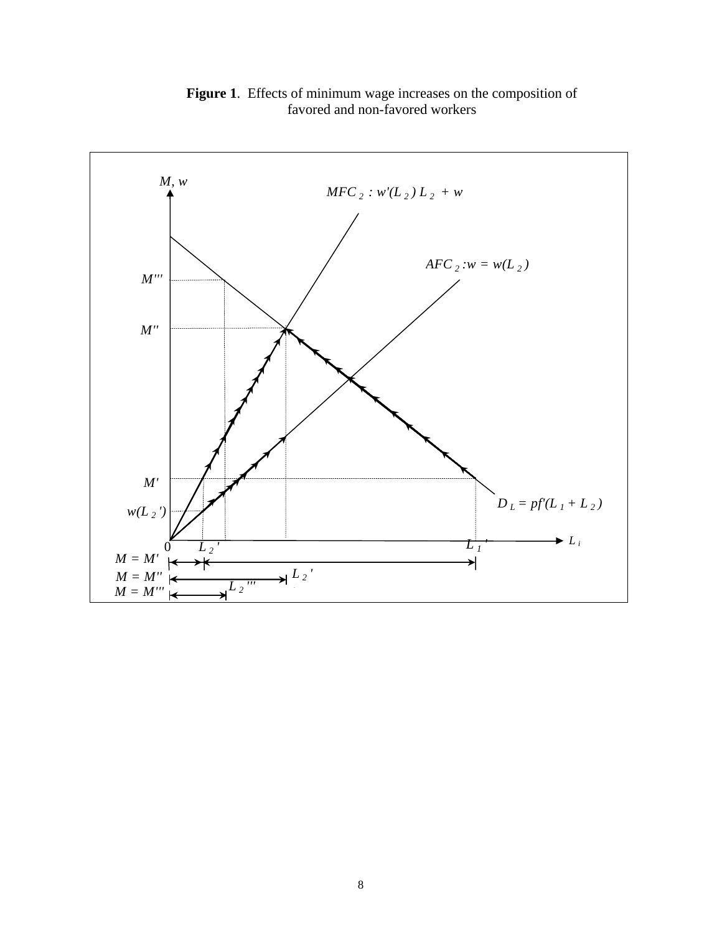

**Figure 1**. Effects of minimum wage increases on the composition of favored and non-favored workers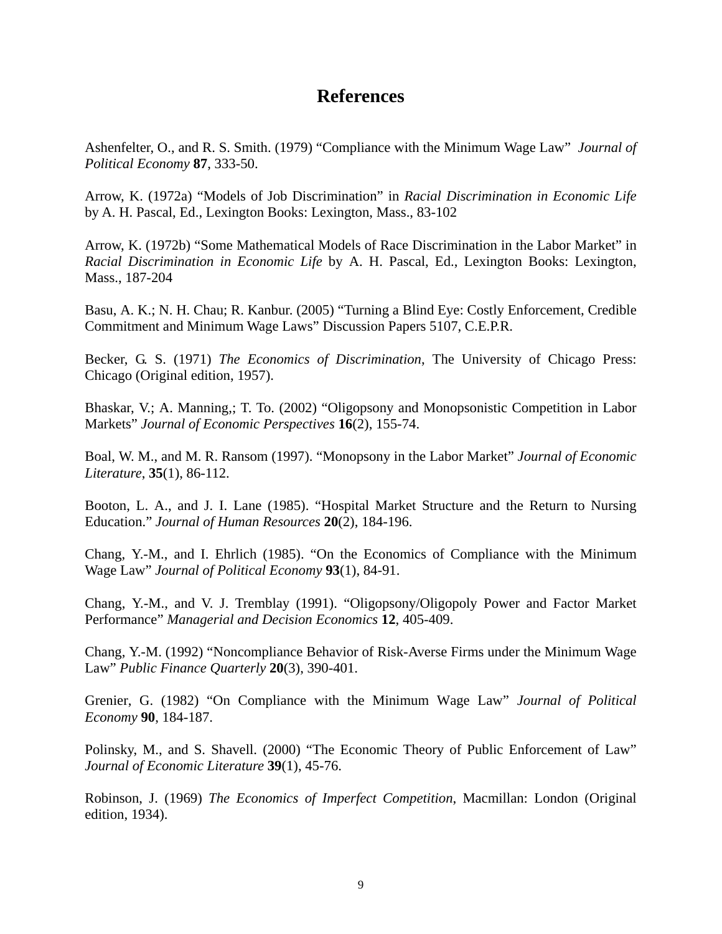## **References**

Ashenfelter, O., and R. S. Smith. (1979) "Compliance with the Minimum Wage Law" *Journal of Political Economy* **87**, 333-50.

Arrow, K. (1972a) "Models of Job Discrimination" in *Racial Discrimination in Economic Life*  by A. H. Pascal, Ed., Lexington Books: Lexington, Mass., 83-102

Arrow, K. (1972b) "Some Mathematical Models of Race Discrimination in the Labor Market" in *Racial Discrimination in Economic Life* by A. H. Pascal, Ed., Lexington Books: Lexington, Mass., 187-204

Basu, A. K.; N. H. Chau; R. Kanbur. (2005) "Turning a Blind Eye: Costly Enforcement, Credible Commitment and Minimum Wage Laws" Discussion Papers 5107, C.E.P.R.

Becker, G. S. (1971) *The Economics of Discrimination*, The University of Chicago Press: Chicago (Original edition, 1957).

Bhaskar, V.; A. Manning,; T. To. (2002) "Oligopsony and Monopsonistic Competition in Labor Markets" *Journal of Economic Perspectives* **16**(2), 155-74.

Boal, W. M., and M. R. Ransom (1997). "Monopsony in the Labor Market" *Journal of Economic Literature*, **35**(1), 86-112.

Booton, L. A., and J. I. Lane (1985). "Hospital Market Structure and the Return to Nursing Education." *Journal of Human Resources* **20**(2), 184-196.

Chang, Y.-M., and I. Ehrlich (1985). "On the Economics of Compliance with the Minimum Wage Law" *Journal of Political Economy* **93**(1), 84-91.

Chang, Y.-M., and V. J. Tremblay (1991). "Oligopsony/Oligopoly Power and Factor Market Performance" *Managerial and Decision Economics* **12**, 405-409.

Chang, Y.-M. (1992) "Noncompliance Behavior of Risk-Averse Firms under the Minimum Wage Law" *Public Finance Quarterly* **20**(3), 390-401.

Grenier, G. (1982) "On Compliance with the Minimum Wage Law" *Journal of Political Economy* **90**, 184-187.

Polinsky, M., and S. Shavell. (2000) "The Economic Theory of Public Enforcement of Law" *Journal of Economic Literature* **39**(1), 45-76.

Robinson, J. (1969) *The Economics of Imperfect Competition*, Macmillan: London (Original edition, 1934).